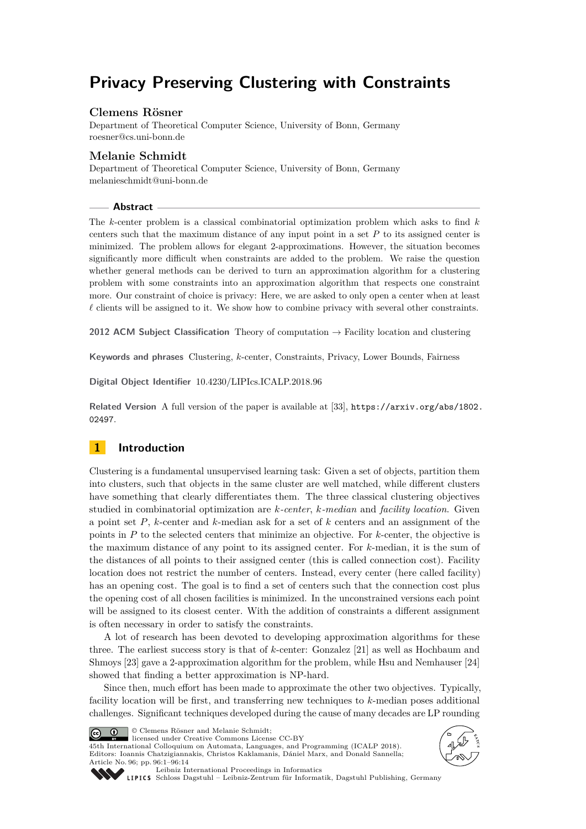# **Privacy Preserving Clustering with Constraints**

## **Clemens Rösner**

Department of Theoretical Computer Science, University of Bonn, Germany [roesner@cs.uni-bonn.de](mailto:roesner@cs.uni-bonn.de)

## **Melanie Schmidt**

Department of Theoretical Computer Science, University of Bonn, Germany [melanieschmidt@uni-bonn.de](mailto:melanieschmidt@uni-bonn.de)

#### **Abstract**

The *k*-center problem is a classical combinatorial optimization problem which asks to find *k* centers such that the maximum distance of any input point in a set *P* to its assigned center is minimized. The problem allows for elegant 2-approximations. However, the situation becomes significantly more difficult when constraints are added to the problem. We raise the question whether general methods can be derived to turn an approximation algorithm for a clustering problem with some constraints into an approximation algorithm that respects one constraint more. Our constraint of choice is privacy: Here, we are asked to only open a center when at least  $\ell$  clients will be assigned to it. We show how to combine privacy with several other constraints.

**2012 ACM Subject Classification** Theory of computation → Facility location and clustering

**Keywords and phrases** Clustering, *k*-center, Constraints, Privacy, Lower Bounds, Fairness

**Digital Object Identifier** [10.4230/LIPIcs.ICALP.2018.96](http://dx.doi.org/10.4230/LIPIcs.ICALP.2018.96)

**Related Version** A full version of the paper is available at [\[33\]](#page-13-0), [https://arxiv.org/abs/1802.](https://arxiv.org/abs/1802.02497) [02497](https://arxiv.org/abs/1802.02497).

## **1 Introduction**

Clustering is a fundamental unsupervised learning task: Given a set of objects, partition them into clusters, such that objects in the same cluster are well matched, while different clusters have something that clearly differentiates them. The three classical clustering objectives studied in combinatorial optimization are *k-center*, *k-median* and *facility location*. Given a point set *P*, *k*-center and *k*-median ask for a set of *k* centers and an assignment of the points in *P* to the selected centers that minimize an objective. For *k*-center, the objective is the maximum distance of any point to its assigned center. For *k*-median, it is the sum of the distances of all points to their assigned center (this is called connection cost). Facility location does not restrict the number of centers. Instead, every center (here called facility) has an opening cost. The goal is to find a set of centers such that the connection cost plus the opening cost of all chosen facilities is minimized. In the unconstrained versions each point will be assigned to its closest center. With the addition of constraints a different assignment is often necessary in order to satisfy the constraints.

A lot of research has been devoted to developing approximation algorithms for these three. The earliest success story is that of *k*-center: Gonzalez [\[21\]](#page-13-1) as well as Hochbaum and Shmoys [\[23\]](#page-13-2) gave a 2-approximation algorithm for the problem, while Hsu and Nemhauser [\[24\]](#page-13-3) showed that finding a better approximation is NP-hard.

Since then, much effort has been made to approximate the other two objectives. Typically, facility location will be first, and transferring new techniques to *k*-median poses additional challenges. Significant techniques developed during the cause of many decades are LP rounding



© Clemens Rösner and Melanie Schmidt; licensed under Creative Commons License CC-BY

45th International Colloquium on Automata, Languages, and Programming (ICALP 2018). Editors: Ioannis Chatzigiannakis, Christos Kaklamanis, Dániel Marx, and Donald Sannella; Article No. 96; pp. 96:1–96[:14](#page-13-4)





[Leibniz International Proceedings in Informatics](http://www.dagstuhl.de/lipics/)

[Schloss Dagstuhl – Leibniz-Zentrum für Informatik, Dagstuhl Publishing, Germany](http://www.dagstuhl.de)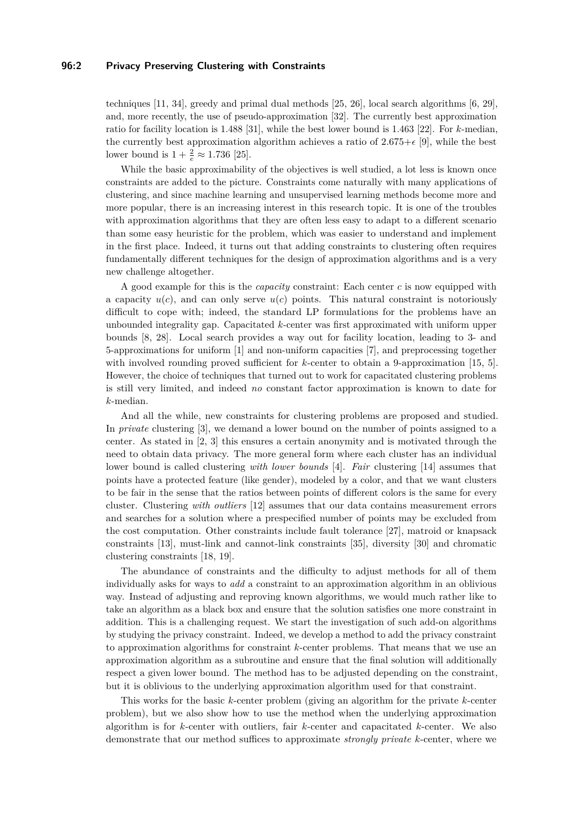#### **96:2 Privacy Preserving Clustering with Constraints**

techniques [\[11,](#page-12-0) [34\]](#page-13-5), greedy and primal dual methods [\[25,](#page-13-6) [26\]](#page-13-7), local search algorithms [\[6,](#page-12-1) [29\]](#page-13-8), and, more recently, the use of pseudo-approximation [\[32\]](#page-13-9). The currently best approximation ratio for facility location is 1.488 [\[31\]](#page-13-10), while the best lower bound is 1.463 [\[22\]](#page-13-11). For *k*-median, the currently best approximation algorithm achieves a ratio of  $2.675+\epsilon$  [\[9\]](#page-12-2), while the best lower bound is  $1 + \frac{2}{e} \approx 1.736$  [\[25\]](#page-13-6).

While the basic approximability of the objectives is well studied, a lot less is known once constraints are added to the picture. Constraints come naturally with many applications of clustering, and since machine learning and unsupervised learning methods become more and more popular, there is an increasing interest in this research topic. It is one of the troubles with approximation algorithms that they are often less easy to adapt to a different scenario than some easy heuristic for the problem, which was easier to understand and implement in the first place. Indeed, it turns out that adding constraints to clustering often requires fundamentally different techniques for the design of approximation algorithms and is a very new challenge altogether.

A good example for this is the *capacity* constraint: Each center *c* is now equipped with a capacity  $u(c)$ , and can only serve  $u(c)$  points. This natural constraint is notoriously difficult to cope with; indeed, the standard LP formulations for the problems have an unbounded integrality gap. Capacitated *k*-center was first approximated with uniform upper bounds [\[8,](#page-12-3) [28\]](#page-13-12). Local search provides a way out for facility location, leading to 3- and 5-approximations for uniform [\[1\]](#page-12-4) and non-uniform capacities [\[7\]](#page-12-5), and preprocessing together with involved rounding proved sufficient for *k*-center to obtain a 9-approximation [\[15,](#page-12-6) [5\]](#page-12-7). However, the choice of techniques that turned out to work for capacitated clustering problems is still very limited, and indeed *no* constant factor approximation is known to date for *k*-median.

And all the while, new constraints for clustering problems are proposed and studied. In *private* clustering [\[3\]](#page-12-8), we demand a lower bound on the number of points assigned to a center. As stated in [\[2,](#page-12-9) [3\]](#page-12-8) this ensures a certain anonymity and is motivated through the need to obtain data privacy. The more general form where each cluster has an individual lower bound is called clustering *with lower bounds* [\[4\]](#page-12-10). *Fair* clustering [\[14\]](#page-12-11) assumes that points have a protected feature (like gender), modeled by a color, and that we want clusters to be fair in the sense that the ratios between points of different colors is the same for every cluster. Clustering *with outliers* [\[12\]](#page-12-12) assumes that our data contains measurement errors and searches for a solution where a prespecified number of points may be excluded from the cost computation. Other constraints include fault tolerance [\[27\]](#page-13-13), matroid or knapsack constraints [\[13\]](#page-12-13), must-link and cannot-link constraints [\[35\]](#page-13-14), diversity [\[30\]](#page-13-15) and chromatic clustering constraints [\[18,](#page-13-16) [19\]](#page-13-17).

The abundance of constraints and the difficulty to adjust methods for all of them individually asks for ways to *add* a constraint to an approximation algorithm in an oblivious way. Instead of adjusting and reproving known algorithms, we would much rather like to take an algorithm as a black box and ensure that the solution satisfies one more constraint in addition. This is a challenging request. We start the investigation of such add-on algorithms by studying the privacy constraint. Indeed, we develop a method to add the privacy constraint to approximation algorithms for constraint *k*-center problems. That means that we use an approximation algorithm as a subroutine and ensure that the final solution will additionally respect a given lower bound. The method has to be adjusted depending on the constraint, but it is oblivious to the underlying approximation algorithm used for that constraint.

This works for the basic *k*-center problem (giving an algorithm for the private *k*-center problem), but we also show how to use the method when the underlying approximation algorithm is for *k*-center with outliers, fair *k*-center and capacitated *k*-center. We also demonstrate that our method suffices to approximate *strongly private k*-center, where we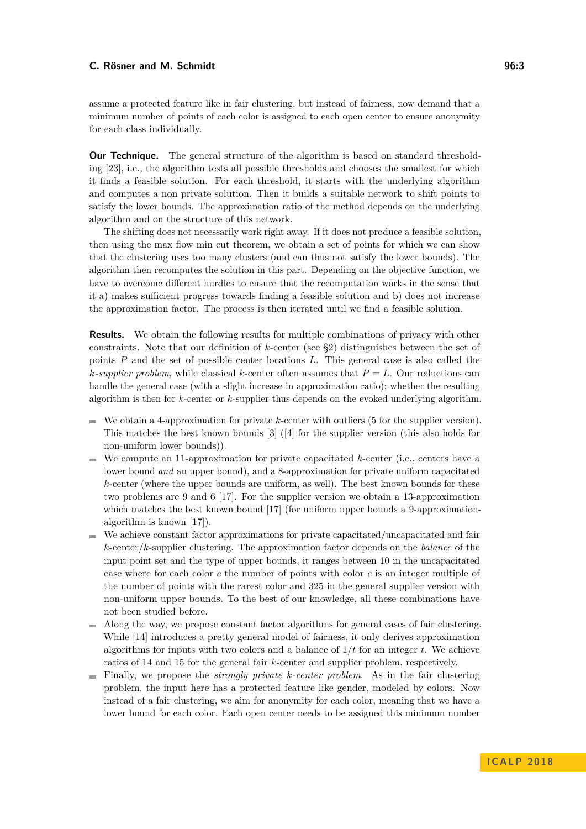assume a protected feature like in fair clustering, but instead of fairness, now demand that a minimum number of points of each color is assigned to each open center to ensure anonymity for each class individually.

**Our Technique.** The general structure of the algorithm is based on standard thresholding [\[23\]](#page-13-2), i.e., the algorithm tests all possible thresholds and chooses the smallest for which it finds a feasible solution. For each threshold, it starts with the underlying algorithm and computes a non private solution. Then it builds a suitable network to shift points to satisfy the lower bounds. The approximation ratio of the method depends on the underlying algorithm and on the structure of this network.

The shifting does not necessarily work right away. If it does not produce a feasible solution, then using the max flow min cut theorem, we obtain a set of points for which we can show that the clustering uses too many clusters (and can thus not satisfy the lower bounds). The algorithm then recomputes the solution in this part. Depending on the objective function, we have to overcome different hurdles to ensure that the recomputation works in the sense that it a) makes sufficient progress towards finding a feasible solution and b) does not increase the approximation factor. The process is then iterated until we find a feasible solution.

**Results.** We obtain the following results for multiple combinations of privacy with other constraints. Note that our definition of *k*-center (see [§2\)](#page-4-0) distinguishes between the set of points *P* and the set of possible center locations *L*. This general case is also called the *k*-supplier problem, while classical *k*-center often assumes that  $P = L$ . Our reductions can handle the general case (with a slight increase in approximation ratio); whether the resulting algorithm is then for *k*-center or *k*-supplier thus depends on the evoked underlying algorithm.

- We obtain a 4-approximation for private *k*-center with outliers (5 for the supplier version).  $\equiv$ This matches the best known bounds [\[3\]](#page-12-8) ([\[4\]](#page-12-10) for the supplier version (this also holds for non-uniform lower bounds)).
- We compute an 11-approximation for private capacitated *k*-center (i.e., centers have a lower bound *and* an upper bound), and a 8-approximation for private uniform capacitated *k*-center (where the upper bounds are uniform, as well). The best known bounds for these two problems are 9 and 6 [\[17\]](#page-13-18). For the supplier version we obtain a 13-approximation which matches the best known bound [\[17\]](#page-13-18) (for uniform upper bounds a 9-approximationalgorithm is known [\[17\]](#page-13-18)).
- We achieve constant factor approximations for private capacitated/uncapacitated and fair *k*-center/*k*-supplier clustering. The approximation factor depends on the *balance* of the input point set and the type of upper bounds, it ranges between 10 in the uncapacitated case where for each color *c* the number of points with color *c* is an integer multiple of the number of points with the rarest color and 325 in the general supplier version with non-uniform upper bounds. To the best of our knowledge, all these combinations have not been studied before.
- Along the way, we propose constant factor algorithms for general cases of fair clustering. While [\[14\]](#page-12-11) introduces a pretty general model of fairness, it only derives approximation algorithms for inputs with two colors and a balance of  $1/t$  for an integer  $t$ . We achieve ratios of 14 and 15 for the general fair *k*-center and supplier problem, respectively.
- Finally, we propose the *strongly private k-center problem*. As in the fair clustering problem, the input here has a protected feature like gender, modeled by colors. Now instead of a fair clustering, we aim for anonymity for each color, meaning that we have a lower bound for each color. Each open center needs to be assigned this minimum number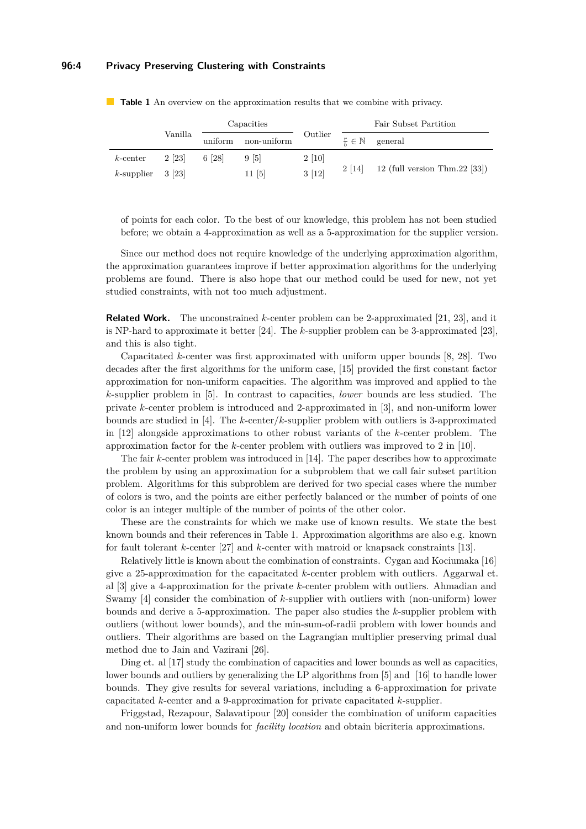#### **96:4 Privacy Preserving Clustering with Constraints**

|                      | Vanilla | Capacities |             |             | Fair Subset Partition      |                                  |
|----------------------|---------|------------|-------------|-------------|----------------------------|----------------------------------|
|                      |         | uniform    | non-uniform | Outlier     | $rac{r}{r} \in \mathbb{N}$ | general                          |
| $k$ -center          | 2 [23]  | 6 [28]     | 9 [5]       | $2 \; [10]$ | 2 [14]                     | 12 (full version Thm.22 $[33]$ ) |
| $k$ -supplier 3 [23] |         |            | 11 [5]      | 3[12]       |                            |                                  |

<span id="page-3-0"></span>**Table 1** An overview on the approximation results that we combine with privacy.

of points for each color. To the best of our knowledge, this problem has not been studied before; we obtain a 4-approximation as well as a 5-approximation for the supplier version.

Since our method does not require knowledge of the underlying approximation algorithm, the approximation guarantees improve if better approximation algorithms for the underlying problems are found. There is also hope that our method could be used for new, not yet studied constraints, with not too much adjustment.

**Related Work.** The unconstrained *k*-center problem can be 2-approximated [\[21,](#page-13-1) [23\]](#page-13-2), and it is NP-hard to approximate it better [\[24\]](#page-13-3). The *k*-supplier problem can be 3-approximated [\[23\]](#page-13-2), and this is also tight.

Capacitated *k*-center was first approximated with uniform upper bounds [\[8,](#page-12-3) [28\]](#page-13-12). Two decades after the first algorithms for the uniform case, [\[15\]](#page-12-6) provided the first constant factor approximation for non-uniform capacities. The algorithm was improved and applied to the *k*-supplier problem in [\[5\]](#page-12-7). In contrast to capacities, *lower* bounds are less studied. The private *k*-center problem is introduced and 2-approximated in [\[3\]](#page-12-8), and non-uniform lower bounds are studied in [\[4\]](#page-12-10). The *k*-center/*k*-supplier problem with outliers is 3-approximated in [\[12\]](#page-12-12) alongside approximations to other robust variants of the *k*-center problem. The approximation factor for the *k*-center problem with outliers was improved to 2 in [\[10\]](#page-12-14).

The fair *k*-center problem was introduced in [\[14\]](#page-12-11). The paper describes how to approximate the problem by using an approximation for a subproblem that we call fair subset partition problem. Algorithms for this subproblem are derived for two special cases where the number of colors is two, and the points are either perfectly balanced or the number of points of one color is an integer multiple of the number of points of the other color.

These are the constraints for which we make use of known results. We state the best known bounds and their references in Table [1.](#page-3-0) Approximation algorithms are also e.g. known for fault tolerant *k*-center [\[27\]](#page-13-13) and *k*-center with matroid or knapsack constraints [\[13\]](#page-12-13).

Relatively little is known about the combination of constraints. Cygan and Kociumaka [\[16\]](#page-13-19) give a 25-approximation for the capacitated *k*-center problem with outliers. Aggarwal et. al [\[3\]](#page-12-8) give a 4-approximation for the private *k*-center problem with outliers. Ahmadian and Swamy [\[4\]](#page-12-10) consider the combination of *k*-supplier with outliers with (non-uniform) lower bounds and derive a 5-approximation. The paper also studies the *k*-supplier problem with outliers (without lower bounds), and the min-sum-of-radii problem with lower bounds and outliers. Their algorithms are based on the Lagrangian multiplier preserving primal dual method due to Jain and Vazirani [\[26\]](#page-13-7).

Ding et. al [\[17\]](#page-13-18) study the combination of capacities and lower bounds as well as capacities, lower bounds and outliers by generalizing the LP algorithms from [\[5\]](#page-12-7) and [\[16\]](#page-13-19) to handle lower bounds. They give results for several variations, including a 6-approximation for private capacitated *k*-center and a 9-approximation for private capacitated *k*-supplier.

Friggstad, Rezapour, Salavatipour [\[20\]](#page-13-20) consider the combination of uniform capacities and non-uniform lower bounds for *facility location* and obtain bicriteria approximations.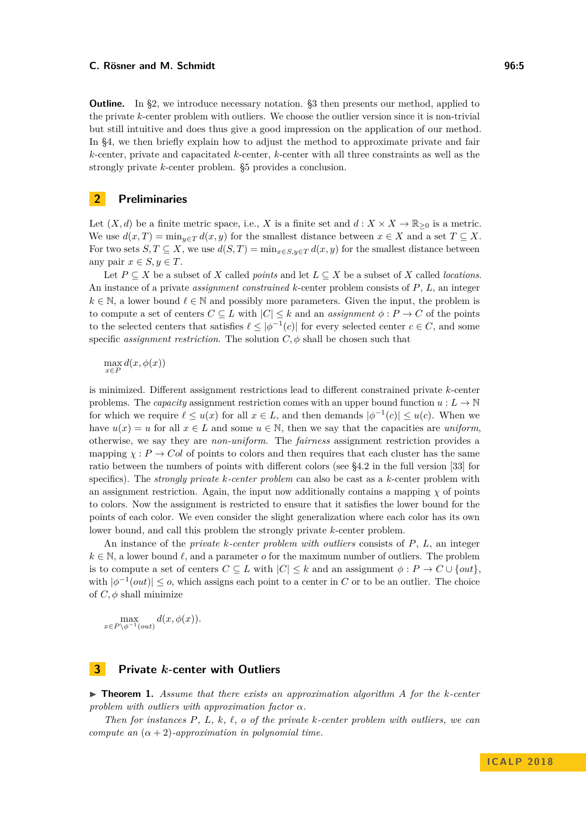**Outline.** In [§2,](#page-4-0) we introduce necessary notation. [§3](#page-4-1) then presents our method, applied to the private *k*-center problem with outliers. We choose the outlier version since it is non-trivial but still intuitive and does thus give a good impression on the application of our method. In [§4,](#page-9-0) we then briefly explain how to adjust the method to approximate private and fair *k*-center, private and capacitated *k*-center, *k*-center with all three constraints as well as the strongly private *k*-center problem. §5 provides a conclusion.

## <span id="page-4-0"></span>**2 Preliminaries**

Let  $(X, d)$  be a finite metric space, i.e., *X* is a finite set and  $d: X \times X \to \mathbb{R}_{\geq 0}$  is a metric. We use  $d(x,T) = \min_{y \in T} d(x,y)$  for the smallest distance between  $x \in X$  and a set  $T \subseteq X$ . For two sets  $S, T \subseteq X$ , we use  $d(S, T) = \min_{x \in S, y \in T} d(x, y)$  for the smallest distance between any pair  $x \in S, y \in T$ .

Let  $P \subseteq X$  be a subset of *X* called *points* and let  $L \subseteq X$  be a subset of *X* called *locations*. An instance of a private *assignment constrained k*-center problem consists of *P*, *L*, an integer  $k \in \mathbb{N}$ , a lower bound  $\ell \in \mathbb{N}$  and possibly more parameters. Given the input, the problem is to compute a set of centers  $C \subseteq L$  with  $|C| \leq k$  and an *assignment*  $\phi : P \to C$  of the points to the selected centers that satisfies  $\ell \leq |\phi^{-1}(c)|$  for every selected center  $c \in C$ , and some specific *assignment restriction*. The solution  $C$ ,  $\phi$  shall be chosen such that

$$
\max_{x \in P} d(x, \phi(x))
$$

is minimized. Different assignment restrictions lead to different constrained private *k*-center problems. The *capacity* assignment restriction comes with an upper bound function  $u : L \to \mathbb{N}$ for which we require  $\ell \leq u(x)$  for all  $x \in L$ , and then demands  $|\phi^{-1}(c)| \leq u(c)$ . When we have  $u(x) = u$  for all  $x \in L$  and some  $u \in \mathbb{N}$ , then we say that the capacities are *uniform*. otherwise, we say they are *non-uniform*. The *fairness* assignment restriction provides a mapping  $\chi : P \to Col$  of points to colors and then requires that each cluster has the same ratio between the numbers of points with different colors (see §4*.*2 in the full version [\[33\]](#page-13-0) for specifics). The *strongly private k-center problem* can also be cast as a *k*-center problem with an assignment restriction. Again, the input now additionally contains a mapping  $\chi$  of points to colors. Now the assignment is restricted to ensure that it satisfies the lower bound for the points of each color. We even consider the slight generalization where each color has its own lower bound, and call this problem the strongly private *k*-center problem.

An instance of the *private k-center problem with outliers* consists of *P*, *L*, an integer  $k \in \mathbb{N}$ , a lower bound  $\ell$ , and a parameter *o* for the maximum number of outliers. The problem is to compute a set of centers  $C \subseteq L$  with  $|C| \leq k$  and an assignment  $\phi : P \to C \cup \{out\}$ , with  $|\phi^{-1}(out)| \leq o$ , which assigns each point to a center in *C* or to be an outlier. The choice of  $C, \phi$  shall minimize

 $\max_{x \in P \setminus \phi^{-1}(out)} d(x, \phi(x)).$ 

## <span id="page-4-1"></span>**3 Private** *k***-center with Outliers**

<span id="page-4-2"></span>I **Theorem 1.** *Assume that there exists an approximation algorithm A for the k-center problem with outliers with approximation factor α.*

*Then for instances P, L, k, `, o of the private k-center problem with outliers, we can compute an*  $(\alpha + 2)$ *-approximation in polynomial time.*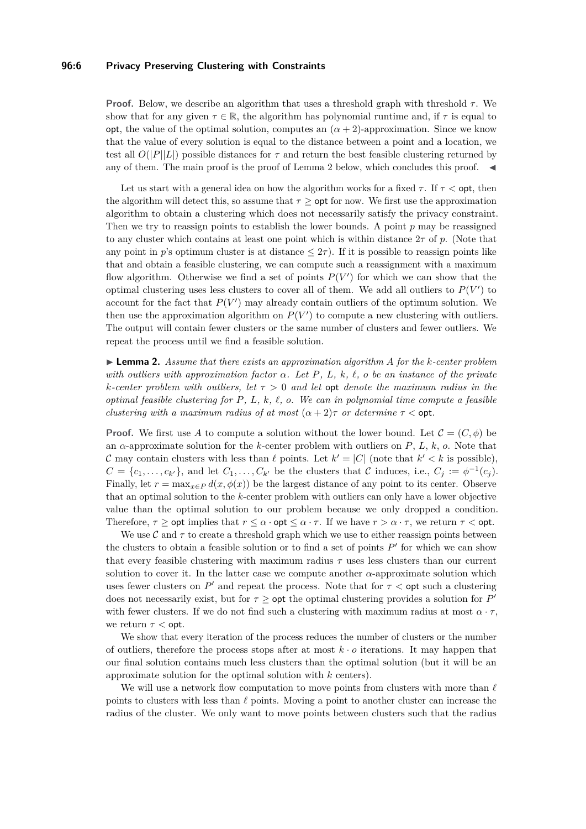#### **96:6 Privacy Preserving Clustering with Constraints**

**Proof.** Below, we describe an algorithm that uses a threshold graph with threshold  $\tau$ . We show that for any given  $\tau \in \mathbb{R}$ , the algorithm has polynomial runtime and, if  $\tau$  is equal to opt, the value of the optimal solution, computes an  $(\alpha + 2)$ -approximation. Since we know that the value of every solution is equal to the distance between a point and a location, we test all  $O(|P||L|)$  possible distances for  $\tau$  and return the best feasible clustering returned by any of them. The main proof is the proof of Lemma [2](#page-5-0) below, which concludes this proof.  $\blacktriangleleft$ 

Let us start with a general idea on how the algorithm works for a fixed  $\tau$ . If  $\tau$  < opt, then the algorithm will detect this, so assume that  $\tau >$  opt for now. We first use the approximation algorithm to obtain a clustering which does not necessarily satisfy the privacy constraint. Then we try to reassign points to establish the lower bounds. A point *p* may be reassigned to any cluster which contains at least one point which is within distance 2*τ* of *p*. (Note that any point in *p*'s optimum cluster is at distance  $\leq 2\tau$ ). If it is possible to reassign points like that and obtain a feasible clustering, we can compute such a reassignment with a maximum flow algorithm. Otherwise we find a set of points  $P(V')$  for which we can show that the optimal clustering uses less clusters to cover all of them. We add all outliers to  $P(V')$  to account for the fact that  $P(V')$  may already contain outliers of the optimum solution. We then use the approximation algorithm on  $P(V')$  to compute a new clustering with outliers. The output will contain fewer clusters or the same number of clusters and fewer outliers. We repeat the process until we find a feasible solution.

<span id="page-5-0"></span>I **Lemma 2.** *Assume that there exists an approximation algorithm A for the k-center problem with outliers with approximation factor α. Let P, L, k, `, o be an instance of the private k-center problem with outliers, let τ >* 0 *and let* opt *denote the maximum radius in the optimal feasible clustering for P, L, k, `, o. We can in polynomial time compute a feasible clustering with a maximum radius of at most*  $(\alpha + 2)\tau$  *or determine*  $\tau <$  opt.

**Proof.** We first use A to compute a solution without the lower bound. Let  $\mathcal{C} = (C, \phi)$  be an *α*-approximate solution for the *k*-center problem with outliers on *P*, *L*, *k*, *o*. Note that C may contain clusters with less than  $\ell$  points. Let  $k' = |C|$  (note that  $k' < k$  is possible),  $C = \{c_1, \ldots, c_{k'}\},\$ and let  $C_1, \ldots, C_{k'}$  be the clusters that C induces, i.e.,  $C_j := \phi^{-1}(c_j)$ . Finally, let  $r = \max_{x \in P} d(x, \phi(x))$  be the largest distance of any point to its center. Observe that an optimal solution to the *k*-center problem with outliers can only have a lower objective value than the optimal solution to our problem because we only dropped a condition. Therefore,  $\tau \geq \text{opt}$  implies that  $r \leq \alpha \cdot \text{opt} \leq \alpha \cdot \tau$ . If we have  $r > \alpha \cdot \tau$ , we return  $\tau < \text{opt}$ .

We use  $\mathcal{C}$  and  $\tau$  to create a threshold graph which we use to either reassign points between the clusters to obtain a feasible solution or to find a set of points  $P'$  for which we can show that every feasible clustering with maximum radius  $\tau$  uses less clusters than our current solution to cover it. In the latter case we compute another  $\alpha$ -approximate solution which uses fewer clusters on  $P'$  and repeat the process. Note that for  $\tau <$  opt such a clustering does not necessarily exist, but for  $\tau \geq \mathsf{opt}$  the optimal clustering provides a solution for  $P'$ with fewer clusters. If we do not find such a clustering with maximum radius at most  $\alpha \cdot \tau$ , we return *τ <* opt.

We show that every iteration of the process reduces the number of clusters or the number of outliers, therefore the process stops after at most  $k \cdot o$  iterations. It may happen that our final solution contains much less clusters than the optimal solution (but it will be an approximate solution for the optimal solution with *k* centers).

We will use a network flow computation to move points from clusters with more than  $\ell$ points to clusters with less than  $\ell$  points. Moving a point to another cluster can increase the radius of the cluster. We only want to move points between clusters such that the radius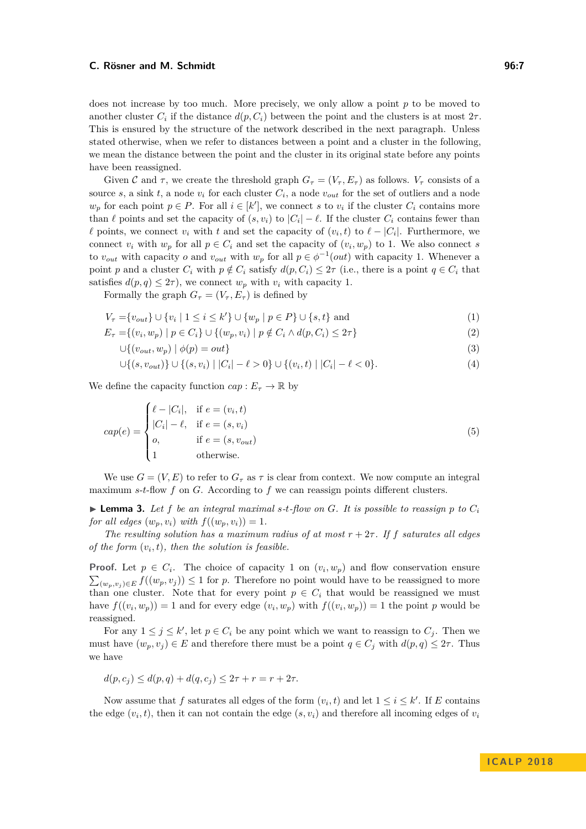#### **C. Rösner and M. Schmidt 96:7 C. Rösner and M. Schmidt**

does not increase by too much. More precisely, we only allow a point *p* to be moved to another cluster  $C_i$  if the distance  $d(p, C_i)$  between the point and the clusters is at most  $2\tau$ . This is ensured by the structure of the network described in the next paragraph. Unless stated otherwise, when we refer to distances between a point and a cluster in the following, we mean the distance between the point and the cluster in its original state before any points have been reassigned.

Given C and  $\tau$ , we create the threshold graph  $G_{\tau} = (V_{\tau}, E_{\tau})$  as follows.  $V_{\tau}$  consists of a source *s*, a sink *t*, a node  $v_i$  for each cluster  $C_i$ , a node  $v_{out}$  for the set of outliers and a node  $w_p$  for each point  $p \in P$ . For all  $i \in [k']$ , we connect *s* to  $v_i$  if the cluster  $C_i$  contains more than  $\ell$  points and set the capacity of  $(s, v_i)$  to  $|C_i| - \ell$ . If the cluster  $C_i$  contains fewer than  $\ell$  points, we connect  $v_i$  with  $t$  and set the capacity of  $(v_i, t)$  to  $\ell - |C_i|$ . Furthermore, we connect  $v_i$  with  $w_p$  for all  $p \in C_i$  and set the capacity of  $(v_i, w_p)$  to 1. We also connect *s* to  $v_{out}$  with capacity *o* and  $v_{out}$  with  $w_p$  for all  $p \in \phi^{-1}(out)$  with capacity 1. Whenever a point *p* and a cluster  $C_i$  with  $p \notin C_i$  satisfy  $d(p, C_i) \leq 2\tau$  (i.e., there is a point  $q \in C_i$  that satisfies  $d(p, q) \leq 2\tau$ , we connect  $w_p$  with  $v_i$  with capacity 1.

Formally the graph  $G_{\tau} = (V_{\tau}, E_{\tau})$  is defined by

$$
V_{\tau} = \{v_{out}\} \cup \{v_i \mid 1 \le i \le k'\} \cup \{w_p \mid p \in P\} \cup \{s, t\} \text{ and } (1)
$$

$$
E_{\tau} = \{(v_i, w_p) \mid p \in C_i\} \cup \{(w_p, v_i) \mid p \notin C_i \land d(p, C_i) \leq 2\tau\}
$$
\n<sup>(2)</sup>

$$
\bigcup \{ (v_{out}, w_p) \mid \phi(p) = out \} \tag{3}
$$

$$
\bigcup \{(s, v_{out})\} \cup \{(s, v_i) \mid |C_i| - \ell > 0\} \cup \{(v_i, t) \mid |C_i| - \ell < 0\}.
$$
 (4)

We define the capacity function  $cap: E_{\tau} \to \mathbb{R}$  by

$$
cap(e) = \begin{cases} \ell - |C_i|, & \text{if } e = (v_i, t) \\ |C_i| - \ell, & \text{if } e = (s, v_i) \\ o, & \text{if } e = (s, v_{out}) \\ 1 & \text{otherwise.} \end{cases}
$$
(5)

We use  $G = (V, E)$  to refer to  $G<sub>\tau</sub>$  as  $\tau$  is clear from context. We now compute an integral maximum *s*-*t*-flow *f* on *G*. According to *f* we can reassign points different clusters.

<span id="page-6-0"></span> $\triangleright$  **Lemma 3.** Let f be an integral maximal s-t-flow on G. It is possible to reassign p to  $C_i$ *for all edges*  $(w_p, v_i)$  *with*  $f((w_p, v_i)) = 1$ *.* 

*The resulting solution has a maximum radius of at most*  $r + 2\tau$ . If *f saturates all edges of the form*  $(v_i, t)$ *, then the solution is feasible.* 

**Proof.** Let  $p \in C_i$ . The choice of capacity 1 on  $(v_i, w_p)$  and flow conservation ensure  $\sum_{(w_p, v_j) \in E} f((w_p, v_j)) \leq 1$  for *p*. Therefore no point would have to be reassigned to more than one cluster. Note that for every point  $p \in C_i$  that would be reassigned we must have  $f((v_i, w_p)) = 1$  and for every edge  $(v_i, w_p)$  with  $f((v_i, w_p)) = 1$  the point *p* would be reassigned.

For any  $1 \leq j \leq k'$ , let  $p \in C_i$  be any point which we want to reassign to  $C_j$ . Then we must have  $(w_p, v_j) \in E$  and therefore there must be a point  $q \in C_j$  with  $d(p, q) \leq 2\tau$ . Thus we have

$$
d(p, c_j) \le d(p, q) + d(q, c_j) \le 2\tau + r = r + 2\tau.
$$

Now assume that *f* saturates all edges of the form  $(v_i, t)$  and let  $1 \le i \le k'$ . If *E* contains the edge  $(v_i, t)$ , then it can not contain the edge  $(s, v_i)$  and therefore all incoming edges of  $v_i$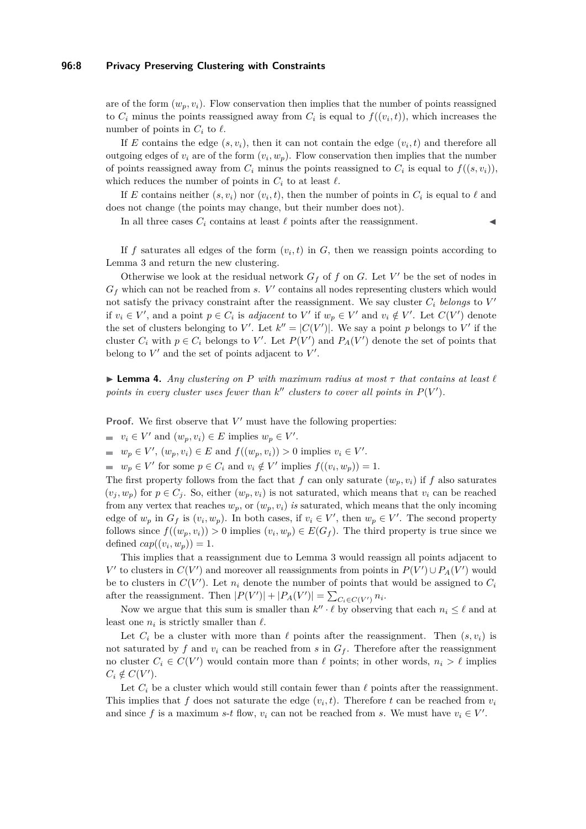#### **96:8 Privacy Preserving Clustering with Constraints**

are of the form  $(w_p, v_i)$ . Flow conservation then implies that the number of points reassigned to  $C_i$  minus the points reassigned away from  $C_i$  is equal to  $f((v_i,t))$ , which increases the number of points in  $C_i$  to  $\ell$ .

If *E* contains the edge  $(s, v_i)$ , then it can not contain the edge  $(v_i, t)$  and therefore all outgoing edges of  $v_i$  are of the form  $(v_i, w_p)$ . Flow conservation then implies that the number of points reassigned away from  $C_i$  minus the points reassigned to  $C_i$  is equal to  $f((s, v_i))$ , which reduces the number of points in  $C_i$  to at least  $\ell$ .

If *E* contains neither  $(s, v_i)$  nor  $(v_i, t)$ , then the number of points in  $C_i$  is equal to  $\ell$  and does not change (the points may change, but their number does not).

In all three cases  $C_i$  contains at least  $\ell$  points after the reassignment.

If  $f$  saturates all edges of the form  $(v_i, t)$  in  $G$ , then we reassign points according to Lemma [3](#page-6-0) and return the new clustering.

Otherwise we look at the residual network  $G_f$  of  $f$  on  $G$ . Let  $V'$  be the set of nodes in  $G_f$  which can not be reached from *s*.  $V'$  contains all nodes representing clusters which would not satisfy the privacy constraint after the reassignment. We say cluster  $C_i$  *belongs* to  $V'$ if  $v_i \in V'$ , and a point  $p \in C_i$  is *adjacent* to  $V'$  if  $w_p \in V'$  and  $v_i \notin V'$ . Let  $C(V')$  denote the set of clusters belonging to *V*'. Let  $k'' = |C(V')|$ . We say a point *p* belongs to *V*' if the cluster  $C_i$  with  $p \in C_i$  belongs to V'. Let  $P(V')$  and  $P_A(V')$  denote the set of points that belong to  $V'$  and the set of points adjacent to  $V'$ .

<span id="page-7-0"></span>**I Lemma 4.** *Any clustering on P with maximum radius at most*  $\tau$  *that contains at least*  $\ell$ points in every cluster uses fewer than  $k''$  clusters to cover all points in  $P(V')$ .

**Proof.** We first observe that  $V'$  must have the following properties:

 $v_i \in V'$  and  $(w_p, v_i) \in E$  implies  $w_p \in V'$ .

 $w_p \in V', (w_p, v_i) \in E$  and  $f((w_p, v_i)) > 0$  implies  $v_i \in V'.$ 

 $w_p \in V'$  for some  $p \in C_i$  and  $v_i \notin V'$  implies  $f((v_i, w_p)) = 1$ .

The first property follows from the fact that *f* can only saturate  $(w_n, v_i)$  if *f* also saturates  $(v_i, w_p)$  for  $p \in C_i$ . So, either  $(w_p, v_i)$  is not saturated, which means that  $v_i$  can be reached from any vertex that reaches  $w_p$ , or  $(w_p, v_i)$  *is* saturated, which means that the only incoming edge of  $w_p$  in  $G_f$  is  $(v_i, w_p)$ . In both cases, if  $v_i \in V'$ , then  $w_p \in V'$ . The second property follows since  $f((w_p, v_i)) > 0$  implies  $(v_i, w_p) \in E(G_f)$ . The third property is true since we defined  $cap((v_i, w_p)) = 1$ .

This implies that a reassignment due to Lemma [3](#page-6-0) would reassign all points adjacent to *V*<sup> $\prime$ </sup> to clusters in *C*(*V*<sup> $\prime$ </sup>) and moreover all reassignments from points in  $P(V') \cup P_A(V')$  would be to clusters in  $C(V')$ . Let  $n_i$  denote the number of points that would be assigned to  $C_i$ after the reassignment. Then  $|P(V')| + |P_A(V')| = \sum_{C_i \in C(V')} n_i$ .

Now we argue that this sum is smaller than  $k'' \cdot \ell$  by observing that each  $n_i \leq \ell$  and at least one  $n_i$  is strictly smaller than  $\ell$ .

Let  $C_i$  be a cluster with more than  $\ell$  points after the reassignment. Then  $(s, v_i)$  is not saturated by f and  $v_i$  can be reached from s in  $G_f$ . Therefore after the reassignment no cluster  $C_i \in C(V')$  would contain more than  $\ell$  points; in other words,  $n_i > \ell$  implies  $C_i \notin C(V')$ .

Let  $C_i$  be a cluster which would still contain fewer than  $\ell$  points after the reassignment. This implies that  $f$  does not saturate the edge  $(v_i, t)$ . Therefore  $t$  can be reached from  $v_i$ and since f is a maximum *s*-*t* flow,  $v_i$  can not be reached from *s*. We must have  $v_i \in V'$ .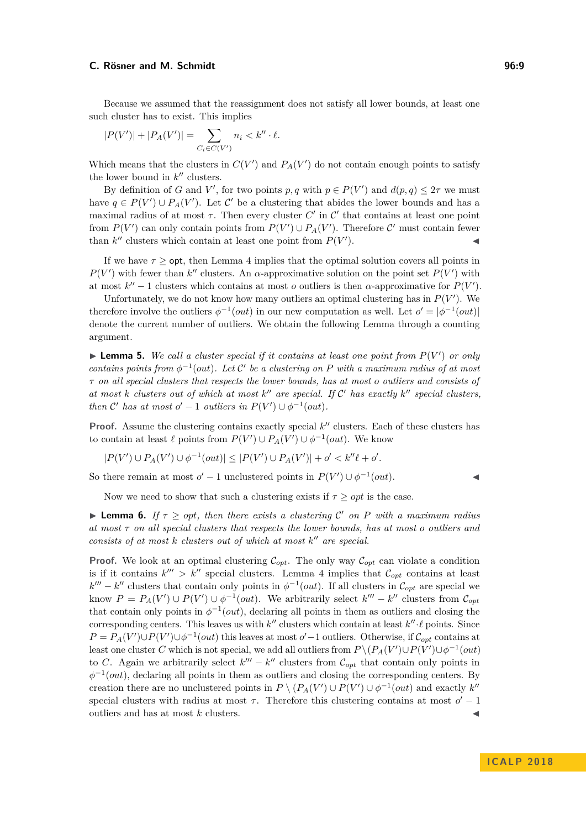Because we assumed that the reassignment does not satisfy all lower bounds, at least one such cluster has to exist. This implies

$$
|P(V')| + |P_A(V')| = \sum_{C_i \in C(V')} n_i < k'' \cdot \ell.
$$

Which means that the clusters in  $C(V')$  and  $P_A(V')$  do not contain enough points to satisfy the lower bound in  $k''$  clusters.

By definition of *G* and *V*', for two points *p*, *q* with  $p \in P(V')$  and  $d(p, q) \leq 2\tau$  we must have  $q \in P(V') \cup P_A(V')$ . Let C' be a clustering that abides the lower bounds and has a maximal radius of at most  $\tau$ . Then every cluster  $C'$  in  $C'$  that contains at least one point from  $P(V')$  can only contain points from  $P(V') \cup P_A(V')$ . Therefore C' must contain fewer than  $k''$  clusters which contain at least one point from  $P(V'$  $\blacksquare$ ).

If we have  $\tau >$  opt, then Lemma [4](#page-7-0) implies that the optimal solution covers all points in  $P(V')$  with fewer than *k*<sup>"</sup> clusters. An *α*-approximative solution on the point set  $P(V')$  with at most  $k'' - 1$  clusters which contains at most *o* outliers is then  $\alpha$ -approximative for  $P(V')$ .

Unfortunately, we do not know how many outliers an optimal clustering has in  $P(V')$ . We therefore involve the outliers  $\phi^{-1}(out)$  in our new computation as well. Let  $o' = |\phi^{-1}(out)|$ denote the current number of outliers. We obtain the following Lemma through a counting argument.

 $\blacktriangleright$  **Lemma 5.** We call a cluster special if it contains at least one point from  $P(V')$  or only *contains points from*  $\phi^{-1}(out)$ *. Let*  $\mathcal{C}'$  *be a clustering on P with a maximum radius of at most τ on all special clusters that respects the lower bounds, has at most o outliers and consists of* at most  $k$  *clusters out of which at most*  $k''$  are special. If  $C'$  has exactly  $k''$  special clusters, *then*  $\mathcal{C}'$  *has at most*  $o' - 1$  *outliers in*  $P(V') \cup \phi^{-1}(out)$ *.* 

**Proof.** Assume the clustering contains exactly special  $k''$  clusters. Each of these clusters has to contain at least  $\ell$  points from  $P(V') \cup P_A(V') \cup \phi^{-1}(out)$ . We know

$$
|P(V') \cup P_A(V') \cup \phi^{-1}(out)| \leq |P(V') \cup P_A(V')| + o' < k''\ell + o'.
$$

So there remain at most  $o' - 1$  unclustered points in  $P(V') \cup \phi^{-1}(out)$ .

Now we need to show that such a clustering exists if  $\tau \geq opt$  is the case.

**I Lemma 6.** *If*  $\tau \ge opt$ , then there exists a clustering C' on P with a maximum radius *at most τ on all special clusters that respects the lower bounds, has at most o outliers and consists of at most*  $k$  *clusters out of which at most*  $k''$  *are special.* 

**Proof.** We look at an optimal clustering  $\mathcal{C}_{opt}$ . The only way  $\mathcal{C}_{opt}$  can violate a condition is if it contains  $k^{\prime\prime\prime} > k^{\prime\prime}$  special clusters. Lemma [4](#page-7-0) implies that  $\mathcal{C}_{opt}$  contains at least  $k^{\prime\prime\prime} - k^{\prime\prime}$  clusters that contain only points in  $\phi^{-1}(out)$ . If all clusters in  $\mathcal{C}_{opt}$  are special we know  $P = P_A(V') \cup P(V') \cup \phi^{-1}(out)$ . We arbitrarily select  $k''' - k''$  clusters from  $\mathcal{C}_{opt}$ that contain only points in  $\phi^{-1}(out)$ , declaring all points in them as outliers and closing the corresponding centers. This leaves us with  $k''$  clusters which contain at least  $k'' \cdot \ell$  points. Since  $P = P_A(V') \cup P(V') \cup \phi^{-1}(out)$  this leaves at most *o*' – 1 outliers. Otherwise, if  $\mathcal{C}_{opt}$  contains at least one cluster *C* which is not special, we add all outliers from  $P \setminus (P_A(V') \cup P(V') \cup \phi^{-1}(out)$ to *C*. Again we arbitrarily select  $k''' - k''$  clusters from  $\mathcal{C}_{opt}$  that contain only points in  $\phi^{-1}(out)$ , declaring all points in them as outliers and closing the corresponding centers. By creation there are no unclustered points in  $P \setminus (P_A(V') \cup P(V') \cup \phi^{-1}(out)$  and exactly  $k''$ special clusters with radius at most  $\tau$ . Therefore this clustering contains at most  $o' - 1$ outliers and has at most  $k$  clusters.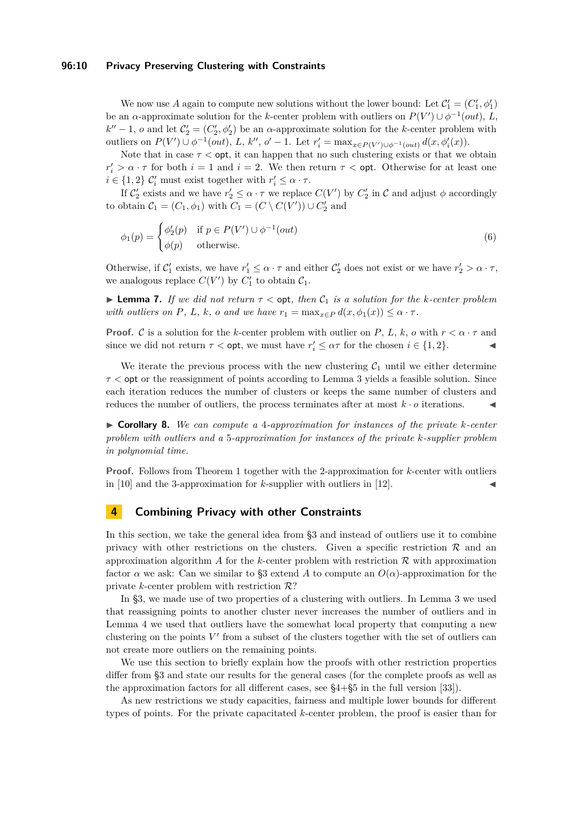#### **96:10 Privacy Preserving Clustering with Constraints**

We now use A again to compute new solutions without the lower bound: Let  $\mathcal{C}'_1 = (C'_1, \phi'_1)$ be an *α*-approximate solution for the *k*-center problem with outliers on  $P(V') \cup \phi^{-1}(out)$ , *L*,  $k'' - 1$ , *o* and let  $C'_2 = (C'_2, \phi'_2)$  be an *α*-approximate solution for the *k*-center problem with outliers on  $P(V') \cup \phi^{-1}(out)$ , L, k'', o' - 1. Let  $r'_i = \max_{x \in P(V') \cup \phi^{-1}(out)} d(x, \phi'_i(x))$ .

Note that in case  $\tau <$  opt, it can happen that no such clustering exists or that we obtain  $r'_i > \alpha \cdot \tau$  for both  $i = 1$  and  $i = 2$ . We then return  $\tau <$  opt. Otherwise for at least one  $i \in \{1, 2\}$   $\mathcal{C}'_i$  must exist together with  $r'_i \leq \alpha \cdot \tau$ .

If  $C'_2$  exists and we have  $r'_2 \leq \alpha \cdot \tau$  we replace  $C(V')$  by  $C'_2$  in  $\mathcal C$  and adjust  $\phi$  accordingly to obtain  $C_1 = (C_1, \phi_1)$  with  $C_1 = (C \setminus C(V')) \cup C'_2$  and

$$
\phi_1(p) = \begin{cases} \phi_2'(p) & \text{if } p \in P(V') \cup \phi^{-1}(out) \\ \phi(p) & \text{otherwise.} \end{cases}
$$
\n(6)

Otherwise, if  $C_1'$  exists, we have  $r_1' \leq \alpha \cdot \tau$  and either  $C_2'$  does not exist or we have  $r_2' > \alpha \cdot \tau$ , we analogous replace  $C(V')$  by  $C'_1$  to obtain  $C_1$ .

**Lemma 7.** *If we did not return*  $\tau < \text{opt}$ *, then*  $C_1$  *is a solution for the k-center problem with outliers on P, L, k<sub></sub>, o and we have*  $r_1 = \max_{x \in P} d(x, \phi_1(x)) \leq \alpha \cdot \tau$ *.* 

**Proof.** C is a solution for the *k*-center problem with outlier on *P*, *L*, *k*, *o* with  $r < \alpha \cdot \tau$  and since we did not return  $\tau <$  opt, we must have  $r'_i \leq \alpha \tau$  for the chosen  $i \in \{1, 2\}$ .

We iterate the previous process with the new clustering  $C_1$  until we either determine *τ <* opt or the reassignment of points according to Lemma [3](#page-6-0) yields a feasible solution. Since each iteration reduces the number of clusters or keeps the same number of clusters and reduces the number of outliers, the process terminates after at most  $k \cdot o$  iterations.

I **Corollary 8.** *We can compute a* 4*-approximation for instances of the private k-center problem with outliers and a* 5*-approximation for instances of the private k-supplier problem in polynomial time.*

**Proof.** Follows from Theorem [1](#page-4-2) together with the 2-approximation for *k*-center with outliers in  $[10]$  and the 3-approximation for *k*-supplier with outliers in  $[12]$ .

## <span id="page-9-0"></span>**4 Combining Privacy with other Constraints**

In this section, we take the general idea from [§3](#page-4-1) and instead of outliers use it to combine privacy with other restrictions on the clusters. Given a specific restriction  $\mathcal R$  and an approximation algorithm *A* for the *k*-center problem with restriction R with approximation factor  $\alpha$  we ask: Can we similar to [§3](#page-4-1) extend A to compute an  $O(\alpha)$ -approximation for the private *k*-center problem with restriction  $\mathcal{R}$ ?

In [§3,](#page-4-1) we made use of two properties of a clustering with outliers. In Lemma [3](#page-6-0) we used that reassigning points to another cluster never increases the number of outliers and in Lemma [4](#page-7-0) we used that outliers have the somewhat local property that computing a new clustering on the points  $V'$  from a subset of the clusters together with the set of outliers can not create more outliers on the remaining points.

We use this section to briefly explain how the proofs with other restriction properties differ from [§3](#page-4-1) and state our results for the general cases (for the complete proofs as well as the approximation factors for all different cases, see §4+§5 in the full version [\[33\]](#page-13-0)).

As new restrictions we study capacities, fairness and multiple lower bounds for different types of points. For the private capacitated *k*-center problem, the proof is easier than for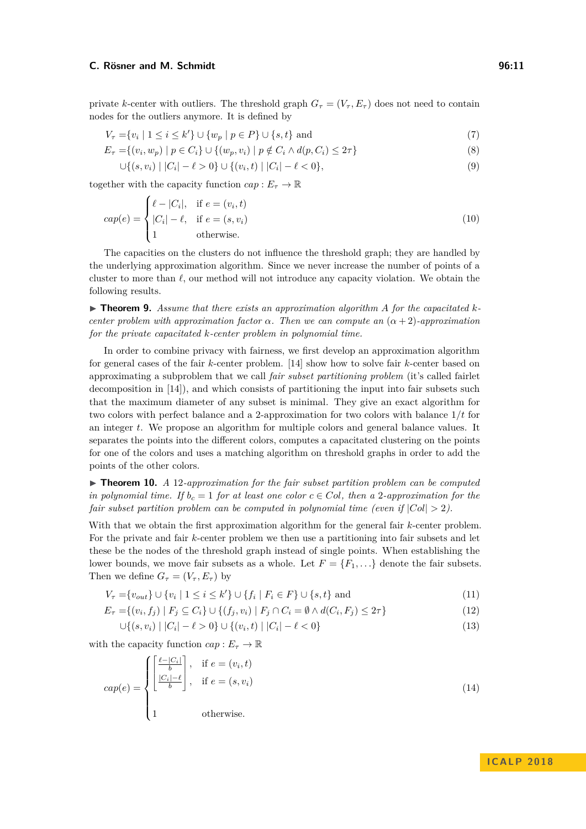private *k*-center with outliers. The threshold graph  $G_{\tau} = (V_{\tau}, E_{\tau})$  does not need to contain nodes for the outliers anymore. It is defined by

$$
V_{\tau} = \{v_i \mid 1 \le i \le k'\} \cup \{w_p \mid p \in P\} \cup \{s, t\} \text{ and } (7)
$$

$$
E_{\tau} = \{(v_i, w_p) \mid p \in C_i\} \cup \{(w_p, v_i) \mid p \notin C_i \land d(p, C_i) \leq 2\tau\}
$$
\n
$$
(8)
$$

$$
\bigcup \{(s, v_i) \mid |C_i| - \ell > 0\} \cup \{(v_i, t) \mid |C_i| - \ell < 0\},\tag{9}
$$

together with the capacity function  $cap: E_{\tau} \to \mathbb{R}$ 

$$
cap(e) = \begin{cases} \ell - |C_i|, & \text{if } e = (v_i, t) \\ |C_i| - \ell, & \text{if } e = (s, v_i) \\ 1 & \text{otherwise.} \end{cases}
$$
(10)

The capacities on the clusters do not influence the threshold graph; they are handled by the underlying approximation algorithm. Since we never increase the number of points of a cluster to more than  $\ell$ , our method will not introduce any capacity violation. We obtain the following results.

 $\triangleright$  **Theorem 9.** Assume that there exists an approximation algorithm A for the capacitated k*center problem with approximation factor*  $\alpha$ *. Then we can compute an*  $(\alpha + 2)$ *-approximation for the private capacitated k-center problem in polynomial time.*

In order to combine privacy with fairness, we first develop an approximation algorithm for general cases of the fair *k*-center problem. [\[14\]](#page-12-11) show how to solve fair *k*-center based on approximating a subproblem that we call *fair subset partitioning problem* (it's called fairlet decomposition in [\[14\]](#page-12-11)), and which consists of partitioning the input into fair subsets such that the maximum diameter of any subset is minimal. They give an exact algorithm for two colors with perfect balance and a 2-approximation for two colors with balance 1*/t* for an integer *t*. We propose an algorithm for multiple colors and general balance values. It separates the points into the different colors, computes a capacitated clustering on the points for one of the colors and uses a matching algorithm on threshold graphs in order to add the points of the other colors.

▶ **Theorem 10.** *A* 12-approximation for the fair subset partition problem can be computed *in polynomial time. If*  $b_c = 1$  *for at least one color*  $c \in Col$ , *then a* 2*-approximation for the fair subset partition problem can be computed in polynomial time (even if*  $|Col| > 2$ ).

With that we obtain the first approximation algorithm for the general fair *k*-center problem. For the private and fair *k*-center problem we then use a partitioning into fair subsets and let these be the nodes of the threshold graph instead of single points. When establishing the lower bounds, we move fair subsets as a whole. Let  $F = \{F_1, \ldots\}$  denote the fair subsets. Then we define  $G_{\tau} = (V_{\tau}, E_{\tau})$  by

$$
V_{\tau} = \{v_{out}\} \cup \{v_i \mid 1 \le i \le k'\} \cup \{f_i \mid F_i \in F\} \cup \{s, t\} \text{ and } (11)
$$

$$
E_{\tau} = \{(v_i, f_j) \mid F_j \subseteq C_i\} \cup \{(f_j, v_i) \mid F_j \cap C_i = \emptyset \land d(C_i, F_j) \le 2\tau\}
$$
\n(12)

$$
\bigcup \{(s, v_i) \mid |C_i| - \ell > 0\} \cup \{(v_i, t) \mid |C_i| - \ell < 0\} \tag{13}
$$

with the capacity function  $cap: E_{\tau} \to \mathbb{R}$ 

$$
cap(e) = \begin{cases} \begin{bmatrix} \frac{\ell - |C_i|}{b} \\ \frac{|C_i| - \ell}{b} \end{bmatrix}, & \text{if } e = (v_i, t) \\ 0, & \text{if } e = (s, v_i) \\ 1, & \text{otherwise.} \end{bmatrix} \end{cases} \tag{14}
$$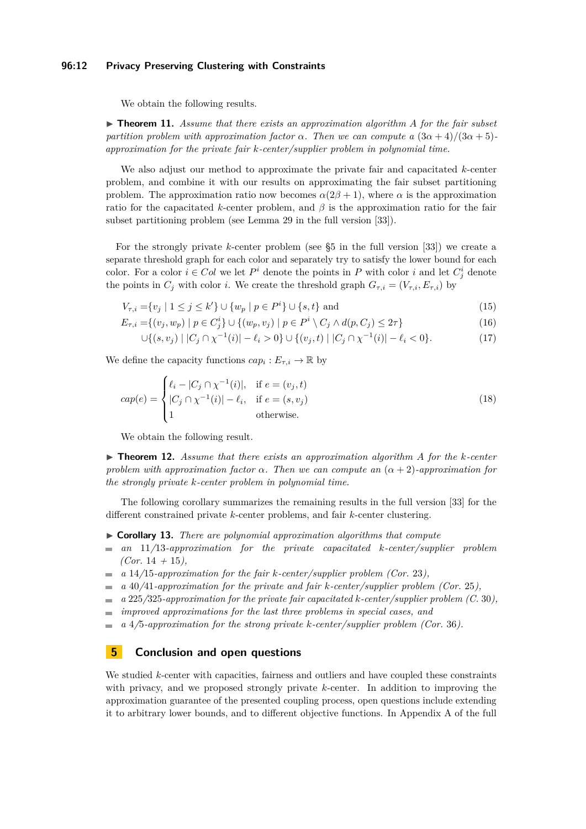#### **96:12 Privacy Preserving Clustering with Constraints**

We obtain the following results.

▶ **Theorem 11.** *Assume that there exists an approximation algorithm A for the fair subset partition problem with approximation factor*  $\alpha$ *. Then we can compute a*  $(3\alpha + 4)/(3\alpha + 5)$ *approximation for the private fair k-center/supplier problem in polynomial time.*

We also adjust our method to approximate the private fair and capacitated *k*-center problem, and combine it with our results on approximating the fair subset partitioning problem. The approximation ratio now becomes  $\alpha(2\beta+1)$ , where  $\alpha$  is the approximation ratio for the capacitated *k*-center problem, and  $\beta$  is the approximation ratio for the fair subset partitioning problem (see Lemma 29 in the full version [\[33\]](#page-13-0)).

For the strongly private *k*-center problem (see §5 in the full version [\[33\]](#page-13-0)) we create a separate threshold graph for each color and separately try to satisfy the lower bound for each color. For a color  $i \in Col$  we let  $P^i$  denote the points in P with color  $i$  and let  $C^i_j$  denote the points in  $C_j$  with color *i*. We create the threshold graph  $G_{\tau,i} = (V_{\tau,i}, E_{\tau,i})$  by

$$
V_{\tau,i} = \{v_j \mid 1 \le j \le k'\} \cup \{w_p \mid p \in P^i\} \cup \{s,t\} \text{ and } (15)
$$

$$
E_{\tau,i} = \{(v_j, w_p) \mid p \in C_j^i\} \cup \{(w_p, v_j) \mid p \in P^i \setminus C_j \land d(p, C_j) \leq 2\tau\}
$$
\n(16)

$$
\bigcup \{(s, v_j) \mid |C_j \cap \chi^{-1}(i)| - \ell_i > 0\} \cup \{(v_j, t) \mid |C_j \cap \chi^{-1}(i)| - \ell_i < 0\}.
$$
\n(17)

We define the capacity functions  $cap_i : E_{\tau,i} \to \mathbb{R}$  by

$$
cap(e) = \begin{cases} \ell_i - |C_j \cap \chi^{-1}(i)|, & \text{if } e = (v_j, t) \\ |C_j \cap \chi^{-1}(i)| - \ell_i, & \text{if } e = (s, v_j) \\ 1 & \text{otherwise.} \end{cases}
$$
\n
$$
(18)
$$

We obtain the following result.

I **Theorem 12.** *Assume that there exists an approximation algorithm A for the k-center problem with approximation factor*  $\alpha$ *. Then we can compute an*  $(\alpha + 2)$ *-approximation for the strongly private k-center problem in polynomial time.*

The following corollary summarizes the remaining results in the full version [\[33\]](#page-13-0) for the different constrained private *k*-center problems, and fair *k*-center clustering.

- I **Corollary 13.** *There are polynomial approximation algorithms that compute*
- *an* 11*/*13*-approximation for the private capacitated k-center/supplier problem (Cor.* 14 *+* 15*),*
- *a* 14*/*15*-approximation for the fair k-center/supplier problem (Cor.* 23*),*
- *a* 40*/*41*-approximation for the private and fair k-center/supplier problem (Cor.* 25*),* m.
- *a* 225*/*325*-approximation for the private fair capacitated k-center/supplier problem (C.* 30*),*  $\blacksquare$
- *improved approximations for the last three problems in special cases, and*  $\equiv$
- *a* 4*/*5*-approximation for the strong private k-center/supplier problem (Cor.* 36*).*  $\equiv$

## **5 Conclusion and open questions**

We studied *k*-center with capacities, fairness and outliers and have coupled these constraints with privacy, and we proposed strongly private *k*-center. In addition to improving the approximation guarantee of the presented coupling process, open questions include extending it to arbitrary lower bounds, and to different objective functions. In Appendix A of the full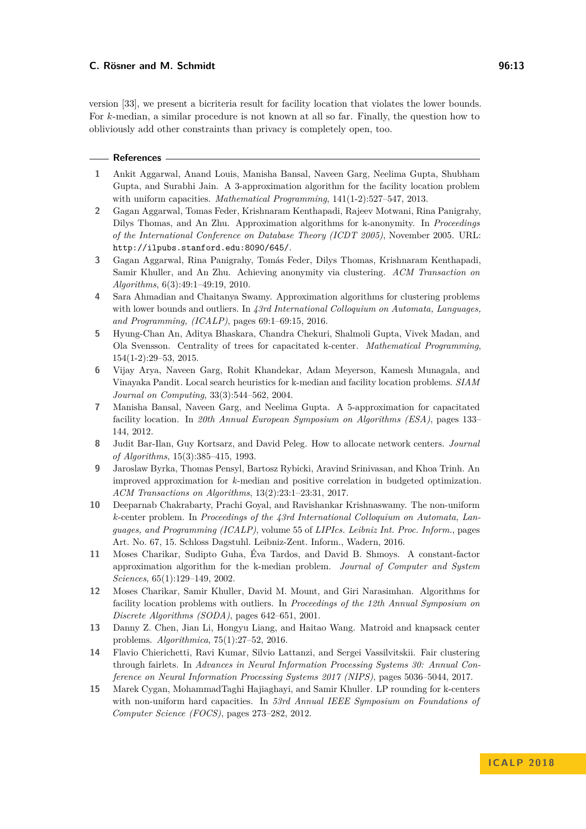version [\[33\]](#page-13-0), we present a bicriteria result for facility location that violates the lower bounds. For *k*-median, a similar procedure is not known at all so far. Finally, the question how to obliviously add other constraints than privacy is completely open, too.

#### **References**

- <span id="page-12-4"></span>**1** Ankit Aggarwal, Anand Louis, Manisha Bansal, Naveen Garg, Neelima Gupta, Shubham Gupta, and Surabhi Jain. A 3-approximation algorithm for the facility location problem with uniform capacities. *Mathematical Programming*, 141(1-2):527–547, 2013.
- <span id="page-12-9"></span>**2** Gagan Aggarwal, Tomas Feder, Krishnaram Kenthapadi, Rajeev Motwani, Rina Panigrahy, Dilys Thomas, and An Zhu. Approximation algorithms for k-anonymity. In *Proceedings of the International Conference on Database Theory (ICDT 2005)*, November 2005. URL: <http://ilpubs.stanford.edu:8090/645/>.
- <span id="page-12-8"></span>**3** Gagan Aggarwal, Rina Panigrahy, Tomás Feder, Dilys Thomas, Krishnaram Kenthapadi, Samir Khuller, and An Zhu. Achieving anonymity via clustering. *ACM Transaction on Algorithms*, 6(3):49:1–49:19, 2010.
- <span id="page-12-10"></span>**4** Sara Ahmadian and Chaitanya Swamy. Approximation algorithms for clustering problems with lower bounds and outliers. In *43rd International Colloquium on Automata, Languages, and Programming, (ICALP)*, pages 69:1–69:15, 2016.
- <span id="page-12-7"></span>**5** Hyung-Chan An, Aditya Bhaskara, Chandra Chekuri, Shalmoli Gupta, Vivek Madan, and Ola Svensson. Centrality of trees for capacitated k-center. *Mathematical Programming*, 154(1-2):29–53, 2015.
- <span id="page-12-1"></span>**6** Vijay Arya, Naveen Garg, Rohit Khandekar, Adam Meyerson, Kamesh Munagala, and Vinayaka Pandit. Local search heuristics for k-median and facility location problems. *SIAM Journal on Computing*, 33(3):544–562, 2004.
- <span id="page-12-5"></span>**7** Manisha Bansal, Naveen Garg, and Neelima Gupta. A 5-approximation for capacitated facility location. In *20th Annual European Symposium on Algorithms (ESA)*, pages 133– 144, 2012.
- <span id="page-12-3"></span>**8** Judit Bar-Ilan, Guy Kortsarz, and David Peleg. How to allocate network centers. *Journal of Algorithms*, 15(3):385–415, 1993.
- <span id="page-12-2"></span>**9** Jaroslaw Byrka, Thomas Pensyl, Bartosz Rybicki, Aravind Srinivasan, and Khoa Trinh. An improved approximation for *k*-median and positive correlation in budgeted optimization. *ACM Transactions on Algorithms*, 13(2):23:1–23:31, 2017.
- <span id="page-12-14"></span>**10** Deeparnab Chakrabarty, Prachi Goyal, and Ravishankar Krishnaswamy. The non-uniform *k*-center problem. In *Proceedings of the 43rd International Colloquium on Automata, Languages, and Programming (ICALP)*, volume 55 of *LIPIcs. Leibniz Int. Proc. Inform.*, pages Art. No. 67, 15. Schloss Dagstuhl. Leibniz-Zent. Inform., Wadern, 2016.
- <span id="page-12-0"></span>**11** Moses Charikar, Sudipto Guha, Éva Tardos, and David B. Shmoys. A constant-factor approximation algorithm for the k-median problem. *Journal of Computer and System Sciences*, 65(1):129–149, 2002.
- <span id="page-12-12"></span>**12** Moses Charikar, Samir Khuller, David M. Mount, and Giri Narasimhan. Algorithms for facility location problems with outliers. In *Proceedings of the 12th Annual Symposium on Discrete Algorithms (SODA)*, pages 642–651, 2001.
- <span id="page-12-13"></span>**13** Danny Z. Chen, Jian Li, Hongyu Liang, and Haitao Wang. Matroid and knapsack center problems. *Algorithmica*, 75(1):27–52, 2016.
- <span id="page-12-11"></span>**14** Flavio Chierichetti, Ravi Kumar, Silvio Lattanzi, and Sergei Vassilvitskii. Fair clustering through fairlets. In *Advances in Neural Information Processing Systems 30: Annual Conference on Neural Information Processing Systems 2017 (NIPS)*, pages 5036–5044, 2017.
- <span id="page-12-6"></span>**15** Marek Cygan, MohammadTaghi Hajiaghayi, and Samir Khuller. LP rounding for k-centers with non-uniform hard capacities. In *53rd Annual IEEE Symposium on Foundations of Computer Science (FOCS)*, pages 273–282, 2012.